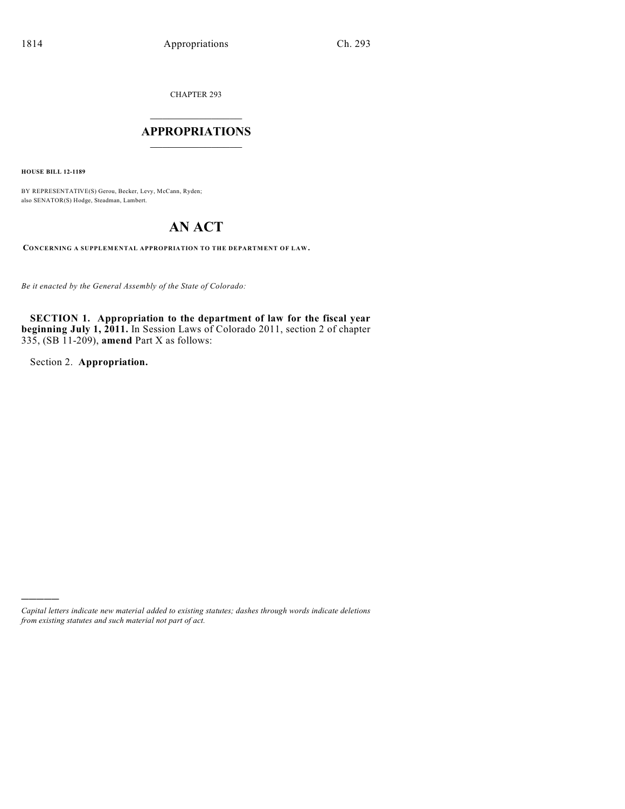CHAPTER 293

# $\mathcal{L}_\text{max}$  . The set of the set of the set of the set of the set of the set of the set of the set of the set of the set of the set of the set of the set of the set of the set of the set of the set of the set of the set **APPROPRIATIONS**  $\_$   $\_$   $\_$   $\_$   $\_$   $\_$   $\_$   $\_$

**HOUSE BILL 12-1189**

BY REPRESENTATIVE(S) Gerou, Becker, Levy, McCann, Ryden; also SENATOR(S) Hodge, Steadman, Lambert.

# **AN ACT**

**CONCERNING A SUPPLEMENTAL APPROPRIATION TO THE DEPARTMENT OF LAW.**

*Be it enacted by the General Assembly of the State of Colorado:*

**SECTION 1. Appropriation to the department of law for the fiscal year beginning July 1, 2011.** In Session Laws of Colorado 2011, section 2 of chapter 335, (SB 11-209), **amend** Part X as follows:

Section 2. **Appropriation.**

)))))

*Capital letters indicate new material added to existing statutes; dashes through words indicate deletions from existing statutes and such material not part of act.*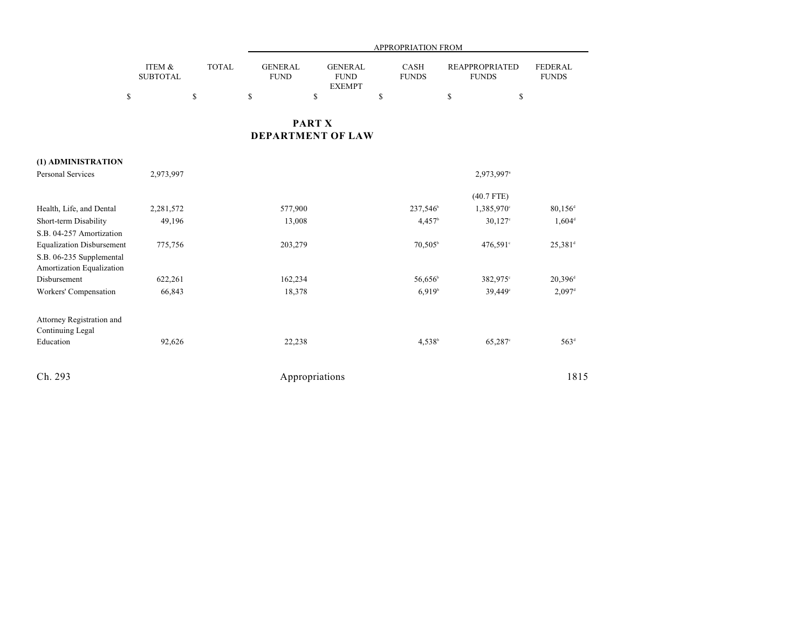|                                                       |                           |              |                               |                                                | <b>APPROPRIATION FROM</b> |                                       |                                |
|-------------------------------------------------------|---------------------------|--------------|-------------------------------|------------------------------------------------|---------------------------|---------------------------------------|--------------------------------|
|                                                       | ITEM &<br><b>SUBTOTAL</b> | <b>TOTAL</b> | <b>GENERAL</b><br><b>FUND</b> | <b>GENERAL</b><br><b>FUND</b><br><b>EXEMPT</b> | CASH<br><b>FUNDS</b>      | <b>REAPPROPRIATED</b><br><b>FUNDS</b> | <b>FEDERAL</b><br><b>FUNDS</b> |
|                                                       | \$                        | \$           | \$<br>\$                      |                                                | \$                        | \$<br>\$                              |                                |
|                                                       |                           |              | <b>PART X</b>                 |                                                |                           |                                       |                                |
|                                                       |                           |              | <b>DEPARTMENT OF LAW</b>      |                                                |                           |                                       |                                |
| (1) ADMINISTRATION                                    |                           |              |                               |                                                |                           |                                       |                                |
| <b>Personal Services</b>                              | 2,973,997                 |              |                               |                                                |                           | 2,973,997 <sup>a</sup>                |                                |
|                                                       |                           |              |                               |                                                |                           | $(40.7$ FTE)                          |                                |
| Health, Life, and Dental                              | 2,281,572                 |              | 577,900                       |                                                | 237,546 <sup>b</sup>      | 1,385,970°                            | $80,156$ <sup>d</sup>          |
| Short-term Disability                                 | 49,196                    |              | 13,008                        |                                                | 4,457 <sup>b</sup>        | $30,127$ °                            | $1,604$ <sup>d</sup>           |
| S.B. 04-257 Amortization                              |                           |              |                               |                                                |                           |                                       |                                |
| <b>Equalization Disbursement</b>                      | 775,756                   |              | 203,279                       |                                                | $70,505^{\rm b}$          | 476,591°                              | $25,381$ <sup>d</sup>          |
| S.B. 06-235 Supplemental<br>Amortization Equalization |                           |              |                               |                                                |                           |                                       |                                |
| Disbursement                                          | 622,261                   |              | 162,234                       |                                                | 56,656 <sup>b</sup>       | 382,975°                              | $20,396^{\rm d}$               |
| Workers' Compensation                                 | 66,843                    |              | 18,378                        |                                                | 6,919 <sup>b</sup>        | 39,449 <sup>c</sup>                   | $2,097$ <sup>d</sup>           |
| Attorney Registration and<br>Continuing Legal         |                           |              |                               |                                                |                           |                                       |                                |
| Education                                             | 92,626                    |              | 22,238                        |                                                | 4,538 <sup>b</sup>        | $65,287$ °                            | 563 <sup>d</sup>               |
| Ch. 293                                               |                           |              | Appropriations                |                                                |                           |                                       | 1815                           |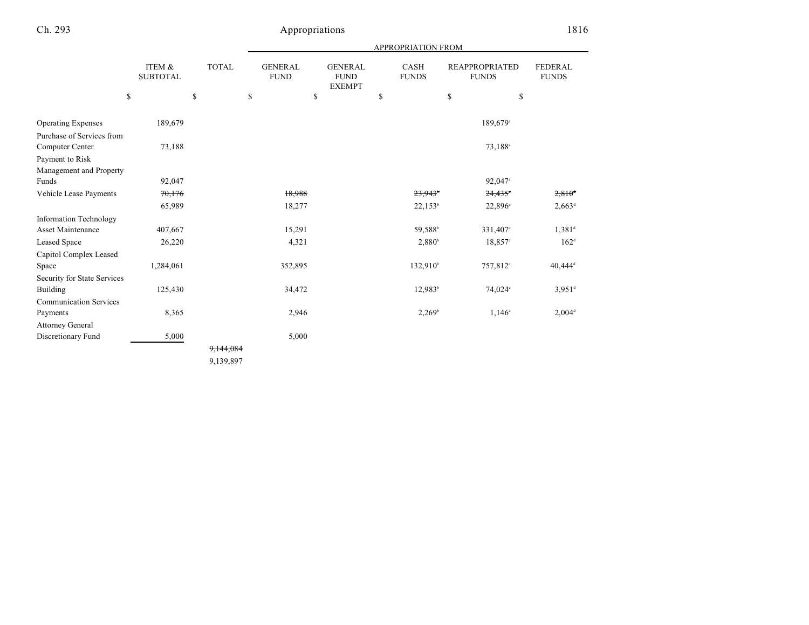|                               |                           |              |                               |                                                | <b>APPROPRIATION FROM</b> |                                |                         |
|-------------------------------|---------------------------|--------------|-------------------------------|------------------------------------------------|---------------------------|--------------------------------|-------------------------|
|                               | ITEM &<br><b>SUBTOTAL</b> | <b>TOTAL</b> | <b>GENERAL</b><br><b>FUND</b> | <b>GENERAL</b><br><b>FUND</b><br><b>EXEMPT</b> | CASH<br><b>FUNDS</b>      | REAPPROPRIATED<br><b>FUNDS</b> | FEDERAL<br><b>FUNDS</b> |
|                               | \$                        | \$           | \$                            | \$                                             | \$                        | \$<br>\$                       |                         |
| <b>Operating Expenses</b>     | 189,679                   |              |                               |                                                |                           | 189,679 <sup>a</sup>           |                         |
| Purchase of Services from     |                           |              |                               |                                                |                           |                                |                         |
| Computer Center               | 73,188                    |              |                               |                                                |                           | 73,188 <sup>a</sup>            |                         |
| Payment to Risk               |                           |              |                               |                                                |                           |                                |                         |
| Management and Property       |                           |              |                               |                                                |                           |                                |                         |
| Funds                         | 92,047                    |              |                               |                                                |                           | 92,047 <sup>a</sup>            |                         |
| Vehicle Lease Payments        | 70,176                    |              | 18,988                        |                                                | 23,943                    | 24,435                         | $2,810$ <sup>d</sup>    |
|                               | 65,989                    |              | 18,277                        |                                                | $22,153^b$                | 22,896 <sup>c</sup>            | $2,663$ <sup>d</sup>    |
| <b>Information Technology</b> |                           |              |                               |                                                |                           |                                |                         |
| <b>Asset Maintenance</b>      | 407,667                   |              | 15,291                        |                                                | 59,588 <sup>b</sup>       | 331,407°                       | $1,381^d$               |
| <b>Leased Space</b>           | 26,220                    |              | 4,321                         |                                                | $2,880^{\circ}$           | $18,857$ °                     | 162 <sup>d</sup>        |
| Capitol Complex Leased        |                           |              |                               |                                                |                           |                                |                         |
| Space                         | 1,284,061                 |              | 352,895                       |                                                | $132,910^{\circ}$         | 757,812 <sup>c</sup>           | $40,444$ <sup>d</sup>   |
| Security for State Services   |                           |              |                               |                                                |                           |                                |                         |
| Building                      | 125,430                   |              | 34,472                        |                                                | $12,983^b$                | 74,024°                        | $3,951$ <sup>d</sup>    |
| <b>Communication Services</b> |                           |              |                               |                                                |                           |                                |                         |
| Payments                      | 8,365                     |              | 2,946                         |                                                | $2,269^{\circ}$           | $1,146^{\circ}$                | $2,004^d$               |
| <b>Attorney General</b>       |                           |              |                               |                                                |                           |                                |                         |
| Discretionary Fund            | 5,000                     |              | 5,000                         |                                                |                           |                                |                         |
|                               |                           | 9,144,084    |                               |                                                |                           |                                |                         |
|                               |                           | 9,139,897    |                               |                                                |                           |                                |                         |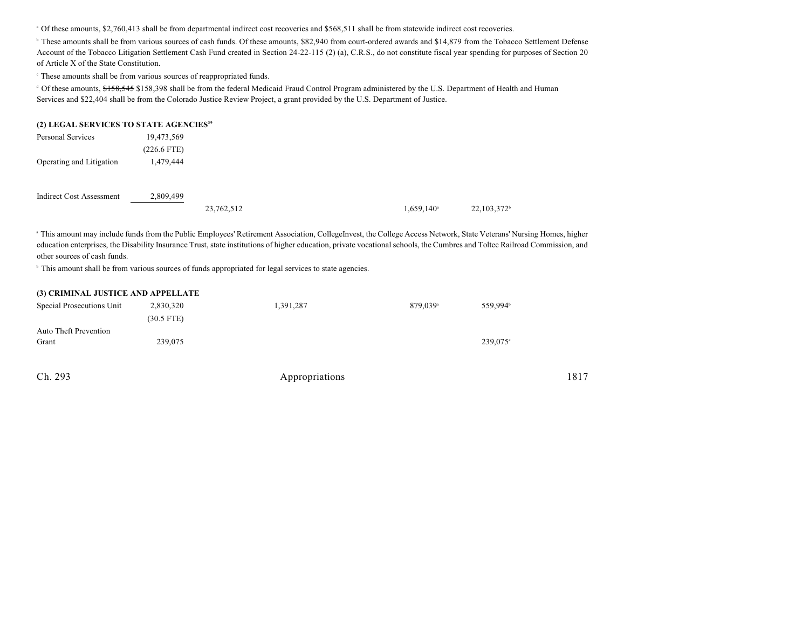Of these amounts, \$2,760,413 shall be from departmental indirect cost recoveries and \$568,511 shall be from statewide indirect cost recoveries. <sup>a</sup>

<sup>h</sup> These amounts shall be from various sources of cash funds. Of these amounts, \$82,940 from court-ordered awards and \$14,879 from the Tobacco Settlement Defense Account of the Tobacco Litigation Settlement Cash Fund created in Section 24-22-115 (2) (a), C.R.S., do not constitute fiscal year spending for purposes of Section 20 of Article X of the State Constitution.

<sup>c</sup> These amounts shall be from various sources of reappropriated funds.

<sup>d</sup> Of these amounts, \$158,545 \$158,398 shall be from the federal Medicaid Fraud Control Program administered by the U.S. Department of Health and Human Services and \$22,404 shall be from the Colorado Justice Review Project, a grant provided by the U.S. Department of Justice.

| (2) LEGAL SERVICES TO STATE AGENCIES <sup>39</sup> |               |            |                          |                         |
|----------------------------------------------------|---------------|------------|--------------------------|-------------------------|
| Personal Services                                  | 19,473,569    |            |                          |                         |
|                                                    | $(226.6$ FTE) |            |                          |                         |
| Operating and Litigation                           | 1,479,444     |            |                          |                         |
| <b>Indirect Cost Assessment</b>                    | 2,809,499     |            |                          |                         |
|                                                    |               | 23,762,512 | $1,659,140$ <sup>a</sup> | 22,103,372 <sup>b</sup> |

<sup>a</sup> This amount may include funds from the Public Employees' Retirement Association, CollegeInvest, the College Access Network, State Veterans' Nursing Homes, higher education enterprises, the Disability Insurance Trust, state institutions of higher education, private vocational schools, the Cumbres and Toltec Railroad Commission, and other sources of cash funds.

<sup>b</sup> This amount shall be from various sources of funds appropriated for legal services to state agencies.

| (3) CRIMINAL JUSTICE AND APPELLATE |              |           |                      |                      |
|------------------------------------|--------------|-----------|----------------------|----------------------|
| Special Prosecutions Unit          | 2,830,320    | 1,391,287 | 879.039 <sup>a</sup> | 559.994 <sup>b</sup> |
|                                    | $(30.5$ FTE) |           |                      |                      |
| <b>Auto Theft Prevention</b>       |              |           |                      |                      |
| Grant                              | 239,075      |           |                      | $239.075^{\circ}$    |
|                                    |              |           |                      |                      |
|                                    |              |           |                      |                      |

| Ch. 293 | Appropriations | 1817 |
|---------|----------------|------|
|         |                |      |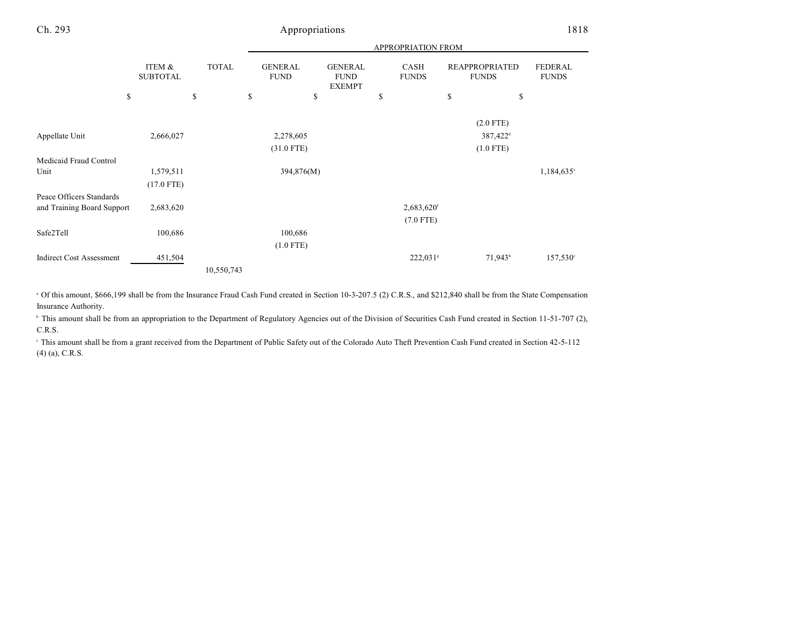|                                 |                           |              |                               |                                                |    | APPROPRIATION FROM       |             |                                       |                                |
|---------------------------------|---------------------------|--------------|-------------------------------|------------------------------------------------|----|--------------------------|-------------|---------------------------------------|--------------------------------|
|                                 | ITEM &<br><b>SUBTOTAL</b> | <b>TOTAL</b> | <b>GENERAL</b><br><b>FUND</b> | <b>GENERAL</b><br><b>FUND</b><br><b>EXEMPT</b> |    | CASH<br><b>FUNDS</b>     |             | <b>REAPPROPRIATED</b><br><b>FUNDS</b> | <b>FEDERAL</b><br><b>FUNDS</b> |
| \$                              |                           | \$           | \$<br>\$                      |                                                | \$ |                          | \$          | \$                                    |                                |
|                                 |                           |              |                               |                                                |    |                          |             |                                       |                                |
|                                 |                           |              |                               |                                                |    |                          |             | $(2.0$ FTE)                           |                                |
| Appellate Unit                  | 2,666,027                 |              | 2,278,605                     |                                                |    |                          |             | 387,422 <sup>d</sup>                  |                                |
|                                 |                           |              | $(31.0$ FTE)                  |                                                |    |                          | $(1.0$ FTE) |                                       |                                |
| Medicaid Fraud Control          |                           |              |                               |                                                |    |                          |             |                                       |                                |
| Unit                            | 1,579,511                 |              | 394,876(M)                    |                                                |    |                          |             |                                       | $1,184,635$ °                  |
|                                 | $(17.0$ FTE)              |              |                               |                                                |    |                          |             |                                       |                                |
| Peace Officers Standards        |                           |              |                               |                                                |    |                          |             |                                       |                                |
| and Training Board Support      | 2,683,620                 |              |                               |                                                |    | $2,683,620$ <sup>f</sup> |             |                                       |                                |
|                                 |                           |              |                               |                                                |    | $(7.0$ FTE)              |             |                                       |                                |
| Safe2Tell                       | 100,686                   |              | 100,686                       |                                                |    |                          |             |                                       |                                |
|                                 |                           |              | $(1.0$ FTE)                   |                                                |    |                          |             |                                       |                                |
| <b>Indirect Cost Assessment</b> | 451,504                   |              |                               |                                                |    | $222,031$ <sup>s</sup>   |             | $71,943^h$                            | $157,530^{\circ}$              |
|                                 |                           | 10,550,743   |                               |                                                |    |                          |             |                                       |                                |

<sup>a</sup> Of this amount, \$666,199 shall be from the Insurance Fraud Cash Fund created in Section 10-3-207.5 (2) C.R.S., and \$212,840 shall be from the State Compensation Insurance Authority.

<sup>b</sup> This amount shall be from an appropriation to the Department of Regulatory Agencies out of the Division of Securities Cash Fund created in Section 11-51-707 (2), C.R.S.

 This amount shall be from a grant received from the Department of Public Safety out of the Colorado Auto Theft Prevention Cash Fund created in Section 42-5-112 <sup>c</sup> (4) (a), C.R.S.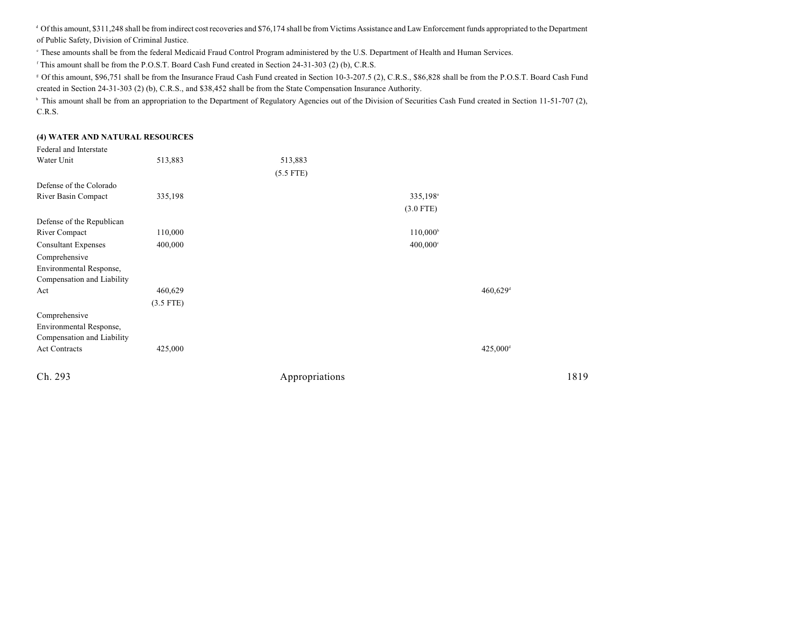<sup>d</sup> Of this amount, \$311,248 shall be from indirect cost recoveries and \$76,174 shall be from Victims Assistance and Law Enforcement funds appropriated to the Department of Public Safety, Division of Criminal Justice.

<sup>e</sup> These amounts shall be from the federal Medicaid Fraud Control Program administered by the U.S. Department of Health and Human Services.

<sup>f</sup> This amount shall be from the P.O.S.T. Board Cash Fund created in Section 24-31-303 (2) (b), C.R.S.

<sup>8</sup> Of this amount, \$96,751 shall be from the Insurance Fraud Cash Fund created in Section 10-3-207.5 (2), C.R.S., \$86,828 shall be from the P.O.S.T. Board Cash Fund created in Section 24-31-303 (2) (b), C.R.S., and \$38,452 shall be from the State Compensation Insurance Authority.

<sup>h</sup> This amount shall be from an appropriation to the Department of Regulatory Agencies out of the Division of Securities Cash Fund created in Section 11-51-707 (2), C.R.S.

#### **(4) WATER AND NATURAL RESOURCES**

| Federal and Interstate     |             |                |                        |                      |      |
|----------------------------|-------------|----------------|------------------------|----------------------|------|
| Water Unit                 | 513,883     | 513,883        |                        |                      |      |
|                            |             | $(5.5$ FTE)    |                        |                      |      |
| Defense of the Colorado    |             |                |                        |                      |      |
| River Basin Compact        | 335,198     |                | 335,198 <sup>a</sup>   |                      |      |
|                            |             |                | $(3.0$ FTE)            |                      |      |
| Defense of the Republican  |             |                |                        |                      |      |
| River Compact              | 110,000     |                | $110,000^{\circ}$      |                      |      |
| <b>Consultant Expenses</b> | 400,000     |                | $400,000$ <sup>c</sup> |                      |      |
| Comprehensive              |             |                |                        |                      |      |
| Environmental Response,    |             |                |                        |                      |      |
| Compensation and Liability |             |                |                        |                      |      |
| Act                        | 460,629     |                |                        | 460,629 <sup>d</sup> |      |
|                            | $(3.5$ FTE) |                |                        |                      |      |
| Comprehensive              |             |                |                        |                      |      |
| Environmental Response,    |             |                |                        |                      |      |
| Compensation and Liability |             |                |                        |                      |      |
| <b>Act Contracts</b>       | 425,000     |                |                        | 425,000 <sup>d</sup> |      |
| Ch. 293                    |             | Appropriations |                        |                      | 1819 |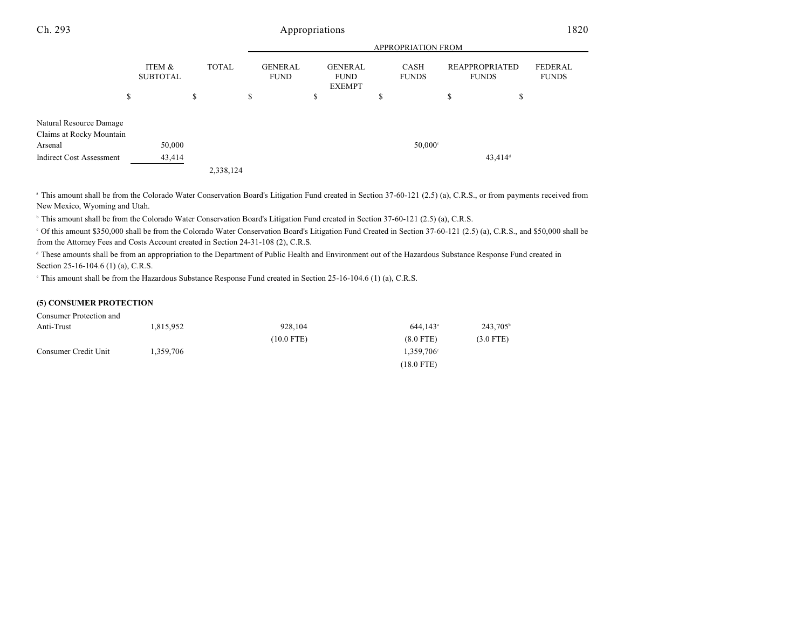|                                                                |                           |              | APPROPRIATION FROM |                               |                                                |                      |    |                                       |                                |
|----------------------------------------------------------------|---------------------------|--------------|--------------------|-------------------------------|------------------------------------------------|----------------------|----|---------------------------------------|--------------------------------|
|                                                                | ITEM &<br><b>SUBTOTAL</b> | <b>TOTAL</b> |                    | <b>GENERAL</b><br><b>FUND</b> | <b>GENERAL</b><br><b>FUND</b><br><b>EXEMPT</b> | CASH<br><b>FUNDS</b> |    | <b>REAPPROPRIATED</b><br><b>FUNDS</b> | <b>FEDERAL</b><br><b>FUNDS</b> |
| \$                                                             |                           | \$           | \$                 | \$                            |                                                | \$                   | \$ | \$                                    |                                |
| Natural Resource Damage<br>Claims at Rocky Mountain<br>Arsenal | 50,000                    |              |                    |                               |                                                | $50,000^\circ$       |    |                                       |                                |
| <b>Indirect Cost Assessment</b>                                | 43,414                    |              | 2,338,124          |                               |                                                |                      |    | $43,414$ <sup>d</sup>                 |                                |

<sup>a</sup> This amount shall be from the Colorado Water Conservation Board's Litigation Fund created in Section 37-60-121 (2.5) (a), C.R.S., or from payments received from New Mexico, Wyoming and Utah.

<sup>b</sup> This amount shall be from the Colorado Water Conservation Board's Litigation Fund created in Section 37-60-121 (2.5) (a), C.R.S.

 Of this amount \$350,000 shall be from the Colorado Water Conservation Board's Litigation Fund Created in Section 37-60-121 (2.5) (a), C.R.S., and \$50,000 shall be <sup>c</sup> from the Attorney Fees and Costs Account created in Section 24-31-108 (2), C.R.S.

<sup>d</sup> These amounts shall be from an appropriation to the Department of Public Health and Environment out of the Hazardous Substance Response Fund created in Section 25-16-104.6 (1) (a), C.R.S.

<sup>e</sup> This amount shall be from the Hazardous Substance Response Fund created in Section 25-16-104.6 (1) (a), C.R.S.

### **(5) CONSUMER PROTECTION**

Consumer Protection and

| Anti-Trust           | 1.815.952 | 928.104    | $644.143$ <sup>a</sup> | 243,705 <sup>b</sup> |
|----------------------|-----------|------------|------------------------|----------------------|
|                      |           | (10.0 FTE) | $(8.0$ FTE)            | $(3.0$ FTE)          |
| Consumer Credit Unit | 1.359.706 |            | $1,359,706^{\circ}$    |                      |
|                      |           |            | $(18.0$ FTE)           |                      |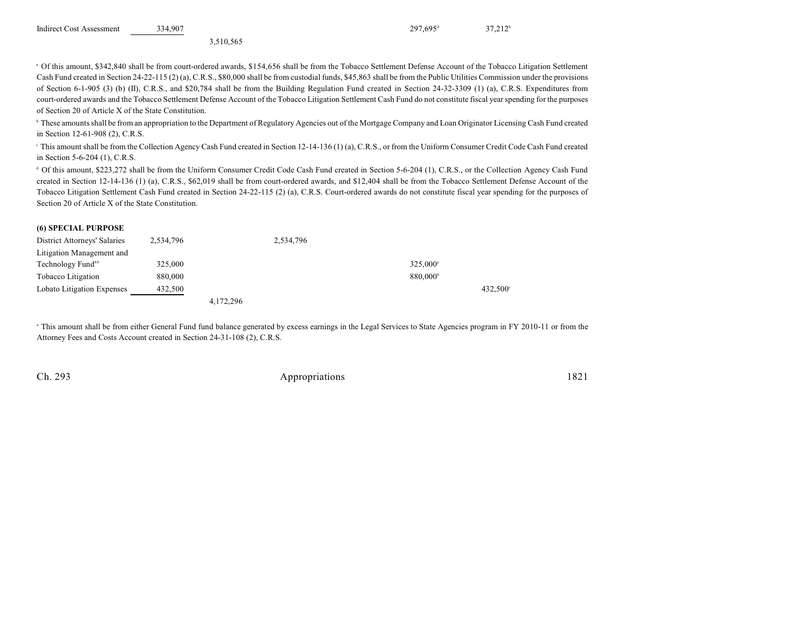| <b>Indirect Cost Assessment</b> | 334.907 | $297.695$ <sup>d</sup> | $37.212$ <sup>t</sup> |
|---------------------------------|---------|------------------------|-----------------------|
|---------------------------------|---------|------------------------|-----------------------|

3,510,565

<sup>a</sup> Of this amount, \$342,840 shall be from court-ordered awards, \$154,656 shall be from the Tobacco Settlement Defense Account of the Tobacco Litigation Settlement Cash Fund created in Section 24-22-115 (2) (a), C.R.S., \$80,000 shall be from custodial funds, \$45,863 shall be from the Public Utilities Commission under the provisions of Section 6-1-905 (3) (b) (II), C.R.S., and \$20,784 shall be from the Building Regulation Fund created in Section 24-32-3309 (1) (a), C.R.S. Expenditures from court-ordered awards and the Tobacco Settlement Defense Account of the Tobacco Litigation Settlement Cash Fund do not constitute fiscal year spending for the purposes of Section 20 of Article X of the State Constitution.

<sup>b</sup> These amounts shall be from an appropriation to the Department of Regulatory Agencies out of the Mortgage Company and Loan Originator Licensing Cash Fund created in Section 12-61-908 (2), C.R.S.

<sup>e</sup> This amount shall be from the Collection Agency Cash Fund created in Section 12-14-136 (1) (a), C.R.S., or from the Uniform Consumer Credit Code Cash Fund created in Section 5-6-204 (1), C.R.S.

 $\alpha$  Of this amount, \$223,272 shall be from the Uniform Consumer Credit Code Cash Fund created in Section 5-6-204 (1), C.R.S., or the Collection Agency Cash Fund created in Section 12-14-136 (1) (a), C.R.S., \$62,019 shall be from court-ordered awards, and \$12,404 shall be from the Tobacco Settlement Defense Account of the Tobacco Litigation Settlement Cash Fund created in Section 24-22-115 (2) (a), C.R.S. Court-ordered awards do not constitute fiscal year spending for the purposes of Section 20 of Article X of the State Constitution.

### **(6) SPECIAL PURPOSE**

| <b>District Attorneys' Salaries</b> | 2,534,796 |           | 2,534,796 |                      |                   |
|-------------------------------------|-----------|-----------|-----------|----------------------|-------------------|
| Litigation Management and           |           |           |           |                      |                   |
| Technology Fund <sup>40</sup>       | 325,000   |           |           | 325.000 <sup>a</sup> |                   |
| Tobacco Litigation                  | 880,000   |           |           | 880,000 <sup>b</sup> |                   |
| Lobato Litigation Expenses          | 432.500   |           |           |                      | $432.500^{\circ}$ |
|                                     |           | 4,172,296 |           |                      |                   |

<sup>a</sup> This amount shall be from either General Fund fund balance generated by excess earnings in the Legal Services to State Agencies program in FY 2010-11 or from the Attorney Fees and Costs Account created in Section 24-31-108 (2), C.R.S.

Ch. 293 Appropriations 1821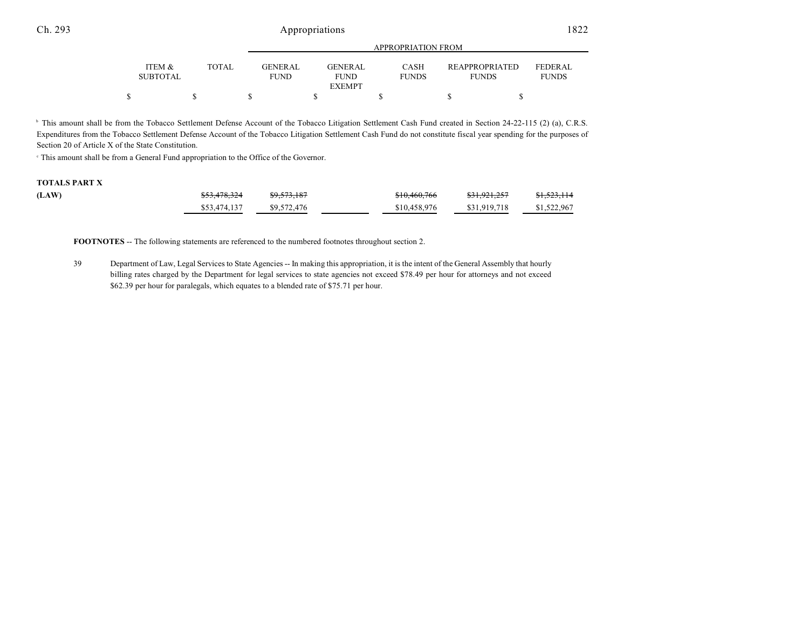|                           |       |                               | APPROPRIATION FROM     |                             |                                       |                                |  |  |  |
|---------------------------|-------|-------------------------------|------------------------|-----------------------------|---------------------------------------|--------------------------------|--|--|--|
| ITEM &<br><b>SUBTOTAL</b> | TOTAL | <b>GENERAL</b><br><b>FUND</b> | GENERAL<br><b>FUND</b> | <b>CASH</b><br><b>FUNDS</b> | <b>REAPPROPRIATED</b><br><b>FUNDS</b> | <b>FEDERAL</b><br><b>FUNDS</b> |  |  |  |
|                           |       |                               | <b>EXEMPT</b>          |                             |                                       |                                |  |  |  |
|                           |       |                               |                        |                             |                                       |                                |  |  |  |

<sup>b</sup> This amount shall be from the Tobacco Settlement Defense Account of the Tobacco Litigation Settlement Cash Fund created in Section 24-22-115 (2) (a), C.R.S. Expenditures from the Tobacco Settlement Defense Account of the Tobacco Litigation Settlement Cash Fund do not constitute fiscal year spending for the purposes of Section 20 of Article X of the State Constitution.

This amount shall be from a General Fund appropriation to the Office of the Governor. <sup>c</sup>

#### **TOTALS PART X**

| (LAW) | <del>\$53,478,324</del> | <del>\$9,573,187</del> | \$10,460,766 | <del>\$31,921,257</del> | <del>\$1,523,114</del> |
|-------|-------------------------|------------------------|--------------|-------------------------|------------------------|
|       | \$53,474,137            | \$9,572,476            | \$10,458,976 | \$31,919.718            | \$1,522,967            |

**FOOTNOTES** -- The following statements are referenced to the numbered footnotes throughout section 2.

39 Department of Law, Legal Services to State Agencies -- In making this appropriation, it is the intent of the General Assembly that hourly billing rates charged by the Department for legal services to state agencies not exceed \$78.49 per hour for attorneys and not exceed \$62.39 per hour for paralegals, which equates to a blended rate of \$75.71 per hour.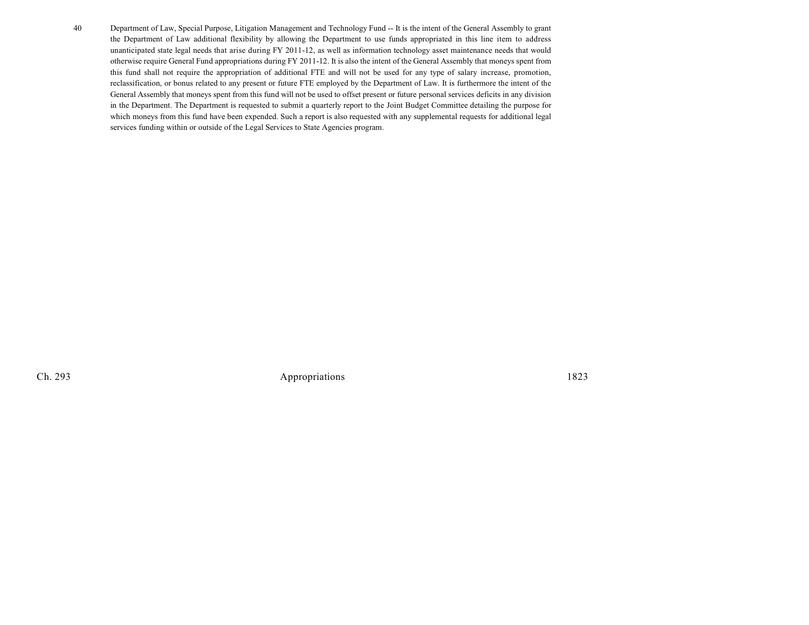40 Department of Law, Special Purpose, Litigation Management and Technology Fund -- It is the intent of the General Assembly to grant the Department of Law additional flexibility by allowing the Department to use funds appropriated in this line item to address unanticipated state legal needs that arise during FY 2011-12, as well as information technology asset maintenance needs that would otherwise require General Fund appropriations during FY 2011-12. It is also the intent of the General Assembly that moneys spent from this fund shall not require the appropriation of additional FTE and will not be used for any type of salary increase, promotion, reclassification, or bonus related to any present or future FTE employed by the Department of Law. It is furthermore the intent of the General Assembly that moneys spent from this fund will not be used to offset present or future personal services deficits in any division in the Department. The Department is requested to submit a quarterly report to the Joint Budget Committee detailing the purpose for which moneys from this fund have been expended. Such a report is also requested with any supplemental requests for additional legal services funding within or outside of the Legal Services to State Agencies program.

Ch. 293 Appropriations 1823